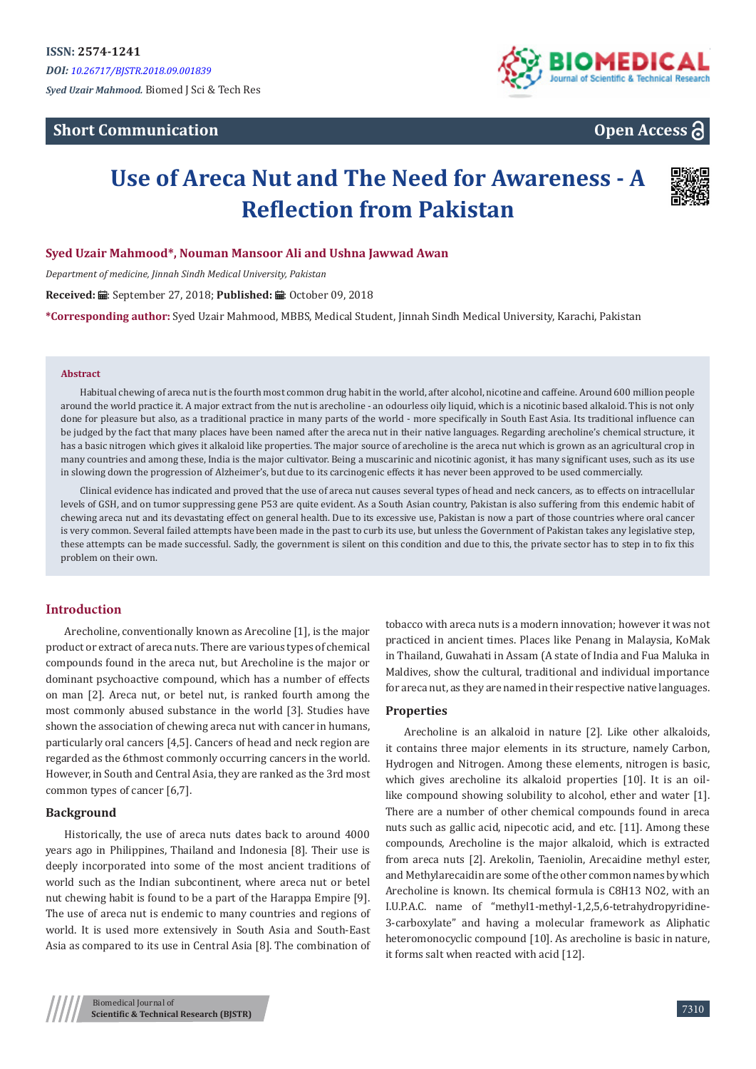# **Short Communication**



**Open Access**

# **Use of Areca Nut and The Need for Awareness - A Reflection from Pakistan**



## **Syed Uzair Mahmood\*, Nouman Mansoor Ali and Ushna Jawwad Awan**

*Department of medicine, Jinnah Sindh Medical University, Pakistan*

Received: *=* : September 27, 2018; Published: ■: October 09, 2018

**\*Corresponding author:** Syed Uzair Mahmood, MBBS, Medical Student, Jinnah Sindh Medical University, Karachi, Pakistan

#### **Abstract**

Habitual chewing of areca nut is the fourth most common drug habit in the world, after alcohol, nicotine and caffeine. Around 600 million people around the world practice it. A major extract from the nut is arecholine - an odourless oily liquid, which is a nicotinic based alkaloid. This is not only done for pleasure but also, as a traditional practice in many parts of the world - more specifically in South East Asia. Its traditional influence can be judged by the fact that many places have been named after the areca nut in their native languages. Regarding arecholine's chemical structure, it has a basic nitrogen which gives it alkaloid like properties. The major source of arecholine is the areca nut which is grown as an agricultural crop in many countries and among these, India is the major cultivator. Being a muscarinic and nicotinic agonist, it has many significant uses, such as its use in slowing down the progression of Alzheimer's, but due to its carcinogenic effects it has never been approved to be used commercially.

Clinical evidence has indicated and proved that the use of areca nut causes several types of head and neck cancers, as to effects on intracellular levels of GSH, and on tumor suppressing gene P53 are quite evident. As a South Asian country, Pakistan is also suffering from this endemic habit of chewing areca nut and its devastating effect on general health. Due to its excessive use, Pakistan is now a part of those countries where oral cancer is very common. Several failed attempts have been made in the past to curb its use, but unless the Government of Pakistan takes any legislative step, these attempts can be made successful. Sadly, the government is silent on this condition and due to this, the private sector has to step in to fix this problem on their own.

## **Introduction**

Arecholine, conventionally known as Arecoline [1], is the major product or extract of areca nuts. There are various types of chemical compounds found in the areca nut, but Arecholine is the major or dominant psychoactive compound, which has a number of effects on man [2]. Areca nut, or betel nut, is ranked fourth among the most commonly abused substance in the world [3]. Studies have shown the association of chewing areca nut with cancer in humans, particularly oral cancers [4,5]. Cancers of head and neck region are regarded as the 6thmost commonly occurring cancers in the world. However, in South and Central Asia, they are ranked as the 3rd most common types of cancer [6,7].

#### **Background**

Historically, the use of areca nuts dates back to around 4000 years ago in Philippines, Thailand and Indonesia [8]. Their use is deeply incorporated into some of the most ancient traditions of world such as the Indian subcontinent, where areca nut or betel nut chewing habit is found to be a part of the Harappa Empire [9]. The use of areca nut is endemic to many countries and regions of world. It is used more extensively in South Asia and South-East Asia as compared to its use in Central Asia [8]. The combination of tobacco with areca nuts is a modern innovation; however it was not practiced in ancient times. Places like Penang in Malaysia, KoMak in Thailand, Guwahati in Assam (A state of India and Fua Maluka in Maldives, show the cultural, traditional and individual importance for areca nut, as they are named in their respective native languages.

#### **Properties**

Arecholine is an alkaloid in nature [2]. Like other alkaloids, it contains three major elements in its structure, namely Carbon, Hydrogen and Nitrogen. Among these elements, nitrogen is basic, which gives arecholine its alkaloid properties [10]. It is an oillike compound showing solubility to alcohol, ether and water [1]. There are a number of other chemical compounds found in areca nuts such as gallic acid, nipecotic acid, and etc. [11]. Among these compounds, Arecholine is the major alkaloid, which is extracted from areca nuts [2]. Arekolin, Taeniolin, Arecaidine methyl ester, and Methylarecaidin are some of the other common names by which Arecholine is known. Its chemical formula is C8H13 NO2, with an I.U.P.A.C. name of "methyl1-methyl-1,2,5,6-tetrahydropyridine-3-carboxylate" and having a molecular framework as Aliphatic heteromonocyclic compound [10]. As arecholine is basic in nature, it forms salt when reacted with acid [12].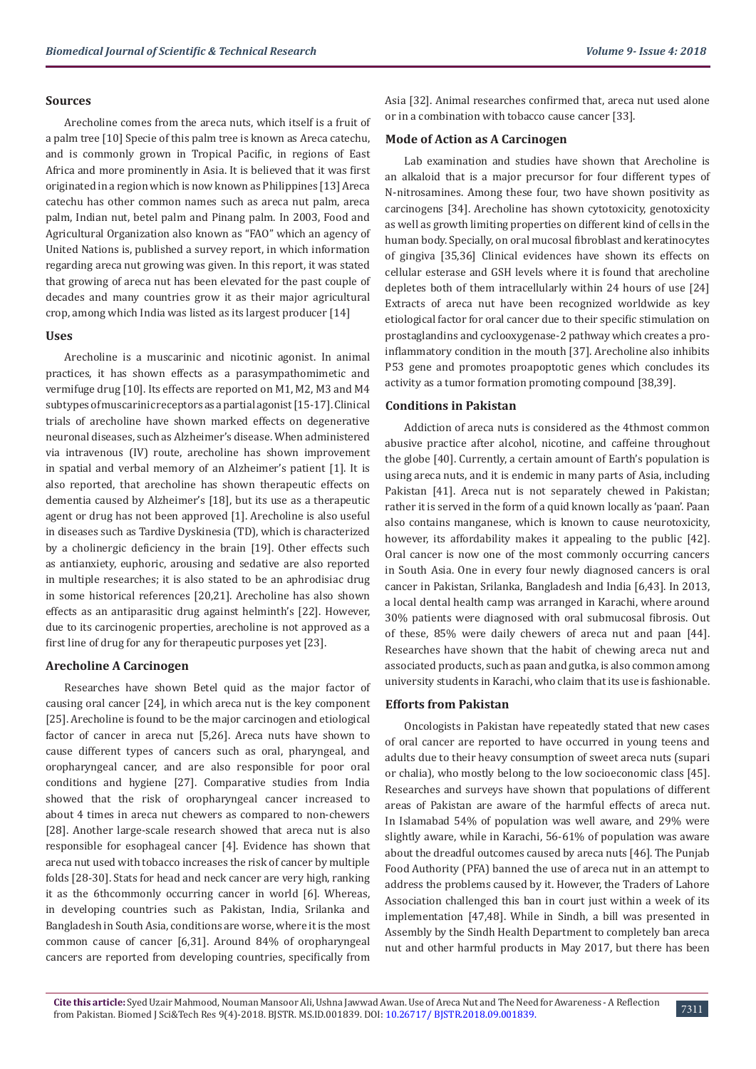#### **Sources**

Arecholine comes from the areca nuts, which itself is a fruit of a palm tree [10] Specie of this palm tree is known as Areca catechu, and is commonly grown in Tropical Pacific, in regions of East Africa and more prominently in Asia. It is believed that it was first originated in a region which is now known as Philippines [13] Areca catechu has other common names such as areca nut palm, areca palm, Indian nut, betel palm and Pinang palm. In 2003, Food and Agricultural Organization also known as "FAO" which an agency of United Nations is, published a survey report, in which information regarding areca nut growing was given. In this report, it was stated that growing of areca nut has been elevated for the past couple of decades and many countries grow it as their major agricultural crop, among which India was listed as its largest producer [14]

#### **Uses**

Arecholine is a muscarinic and nicotinic agonist. In animal practices, it has shown effects as a parasympathomimetic and vermifuge drug [10]. Its effects are reported on M1, M2, M3 and M4 subtypes of muscarinic receptors as a partial agonist [15-17]. Clinical trials of arecholine have shown marked effects on degenerative neuronal diseases, such as Alzheimer's disease. When administered via intravenous (IV) route, arecholine has shown improvement in spatial and verbal memory of an Alzheimer's patient [1]. It is also reported, that arecholine has shown therapeutic effects on dementia caused by Alzheimer's [18], but its use as a therapeutic agent or drug has not been approved [1]. Arecholine is also useful in diseases such as Tardive Dyskinesia (TD), which is characterized by a cholinergic deficiency in the brain [19]. Other effects such as antianxiety, euphoric, arousing and sedative are also reported in multiple researches; it is also stated to be an aphrodisiac drug in some historical references [20,21]. Arecholine has also shown effects as an antiparasitic drug against helminth's [22]. However, due to its carcinogenic properties, arecholine is not approved as a first line of drug for any for therapeutic purposes yet [23].

#### **Arecholine A Carcinogen**

Researches have shown Betel quid as the major factor of causing oral cancer [24], in which areca nut is the key component [25]. Arecholine is found to be the major carcinogen and etiological factor of cancer in areca nut [5,26]. Areca nuts have shown to cause different types of cancers such as oral, pharyngeal, and oropharyngeal cancer, and are also responsible for poor oral conditions and hygiene [27]. Comparative studies from India showed that the risk of oropharyngeal cancer increased to about 4 times in areca nut chewers as compared to non-chewers [28]. Another large-scale research showed that areca nut is also responsible for esophageal cancer [4]. Evidence has shown that areca nut used with tobacco increases the risk of cancer by multiple folds [28-30]. Stats for head and neck cancer are very high, ranking it as the 6thcommonly occurring cancer in world [6]. Whereas, in developing countries such as Pakistan, India, Srilanka and Bangladesh in South Asia, conditions are worse, where it is the most common cause of cancer [6,31]. Around 84% of oropharyngeal cancers are reported from developing countries, specifically from

Asia [32]. Animal researches confirmed that, areca nut used alone or in a combination with tobacco cause cancer [33].

#### **Mode of Action as A Carcinogen**

Lab examination and studies have shown that Arecholine is an alkaloid that is a major precursor for four different types of N-nitrosamines. Among these four, two have shown positivity as carcinogens [34]. Arecholine has shown cytotoxicity, genotoxicity as well as growth limiting properties on different kind of cells in the human body. Specially, on oral mucosal fibroblast and keratinocytes of gingiva [35,36] Clinical evidences have shown its effects on cellular esterase and GSH levels where it is found that arecholine depletes both of them intracellularly within 24 hours of use [24] Extracts of areca nut have been recognized worldwide as key etiological factor for oral cancer due to their specific stimulation on prostaglandins and cyclooxygenase-2 pathway which creates a proinflammatory condition in the mouth [37]. Arecholine also inhibits P53 gene and promotes proapoptotic genes which concludes its activity as a tumor formation promoting compound [38,39].

#### **Conditions in Pakistan**

Addiction of areca nuts is considered as the 4thmost common abusive practice after alcohol, nicotine, and caffeine throughout the globe [40]. Currently, a certain amount of Earth's population is using areca nuts, and it is endemic in many parts of Asia, including Pakistan [41]. Areca nut is not separately chewed in Pakistan; rather it is served in the form of a quid known locally as 'paan'. Paan also contains manganese, which is known to cause neurotoxicity, however, its affordability makes it appealing to the public [42]. Oral cancer is now one of the most commonly occurring cancers in South Asia. One in every four newly diagnosed cancers is oral cancer in Pakistan, Srilanka, Bangladesh and India [6,43]. In 2013, a local dental health camp was arranged in Karachi, where around 30% patients were diagnosed with oral submucosal fibrosis. Out of these, 85% were daily chewers of areca nut and paan [44]. Researches have shown that the habit of chewing areca nut and associated products, such as paan and gutka, is also common among university students in Karachi, who claim that its use is fashionable.

#### **Efforts from Pakistan**

Oncologists in Pakistan have repeatedly stated that new cases of oral cancer are reported to have occurred in young teens and adults due to their heavy consumption of sweet areca nuts (supari or chalia), who mostly belong to the low socioeconomic class [45]. Researches and surveys have shown that populations of different areas of Pakistan are aware of the harmful effects of areca nut. In Islamabad 54% of population was well aware, and 29% were slightly aware, while in Karachi, 56-61% of population was aware about the dreadful outcomes caused by areca nuts [46]. The Punjab Food Authority (PFA) banned the use of areca nut in an attempt to address the problems caused by it. However, the Traders of Lahore Association challenged this ban in court just within a week of its implementation [47,48]. While in Sindh, a bill was presented in Assembly by the Sindh Health Department to completely ban areca nut and other harmful products in May 2017, but there has been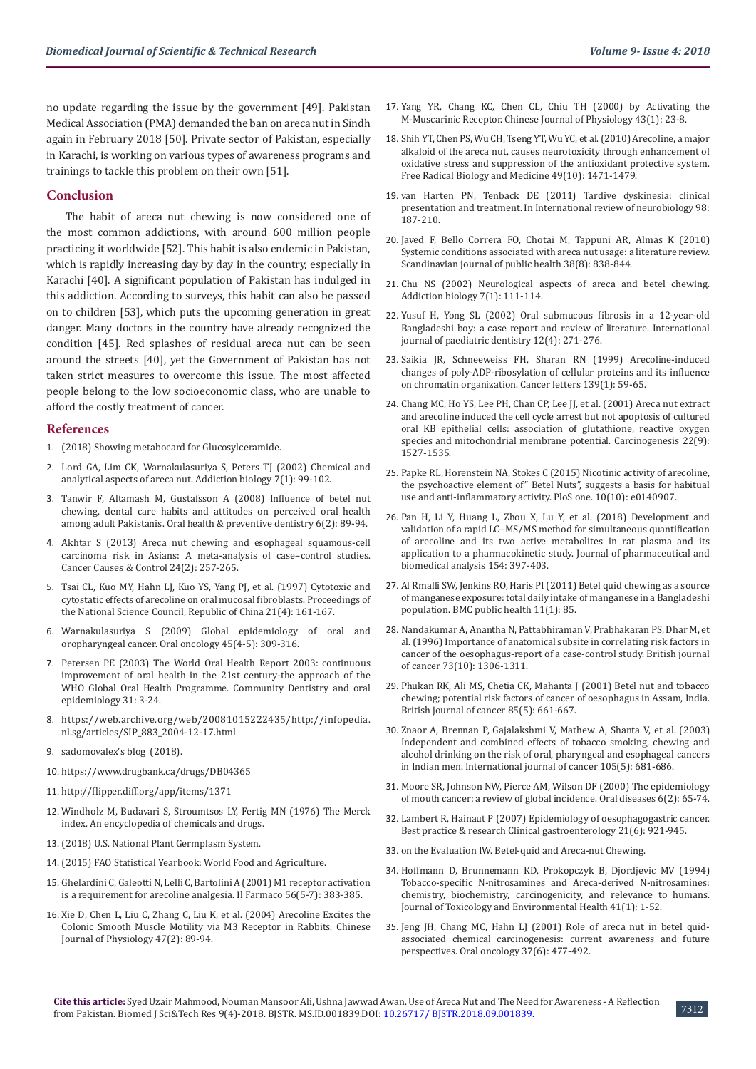no update regarding the issue by the government [49]. Pakistan Medical Association (PMA) demanded the ban on areca nut in Sindh again in February 2018 [50]. Private sector of Pakistan, especially in Karachi, is working on various types of awareness programs and trainings to tackle this problem on their own [51].

#### **Conclusion**

The habit of areca nut chewing is now considered one of the most common addictions, with around 600 million people practicing it worldwide [52]. This habit is also endemic in Pakistan, which is rapidly increasing day by day in the country, especially in Karachi [40]. A significant population of Pakistan has indulged in this addiction. According to surveys, this habit can also be passed on to children [53], which puts the upcoming generation in great danger. Many doctors in the country have already recognized the condition [45]. Red splashes of residual areca nut can be seen around the streets [40], yet the Government of Pakistan has not taken strict measures to overcome this issue. The most affected people belong to the low socioeconomic class, who are unable to afford the costly treatment of cancer.

#### **References**

- 1. [\(2018\) Showing metabocard for Glucosylceramide.](http://www.hmdb.ca/metabolites/HMDB0004970)
- 2. Lord GA, Lim CK, Warnakulasuriya S, Peters TJ (2002) Chemical and [analytical aspects of areca nut. Addiction biology 7\(1\): 99-102.](https://www.ncbi.nlm.nih.gov/pubmed/11900628)
- 3. [Tanwir F, Altamash M, Gustafsson A \(2008\) Influence of betel nut](https://www.ncbi.nlm.nih.gov/pubmed/18637386)  [chewing, dental care habits and attitudes on perceived oral health](https://www.ncbi.nlm.nih.gov/pubmed/18637386)  [among adult Pakistanis. Oral health & preventive dentistry 6\(2\): 89-94.](https://www.ncbi.nlm.nih.gov/pubmed/18637386)
- 4. [Akhtar S \(2013\) Areca nut chewing and esophageal squamous-cell](https://www.ncbi.nlm.nih.gov/pubmed/23224324)  [carcinoma risk in Asians: A meta-analysis of case–control studies.](https://www.ncbi.nlm.nih.gov/pubmed/23224324)  [Cancer Causes & Control 24\(2\): 257-265.](https://www.ncbi.nlm.nih.gov/pubmed/23224324)
- 5. [Tsai CL, Kuo MY, Hahn LJ, Kuo YS, Yang PJ, et al. \(1997\) Cytotoxic and](https://www.ncbi.nlm.nih.gov/pubmed/9369025)  [cytostatic effects of arecoline on oral mucosal fibroblasts. Proceedings of](https://www.ncbi.nlm.nih.gov/pubmed/9369025)  [the National Science Council, Republic of China 21\(4\): 161-167.](https://www.ncbi.nlm.nih.gov/pubmed/9369025)
- 6. [Warnakulasuriya S \(2009\) Global epidemiology of oral and](https://www.ncbi.nlm.nih.gov/pubmed/18804401)  [oropharyngeal cancer. Oral oncology 45\(4-5\): 309-316.](https://www.ncbi.nlm.nih.gov/pubmed/18804401)
- 7. [Petersen PE \(2003\) The World Oral Health Report 2003: continuous](http://www.who.int/oral_health/media/en/orh_report03_en.pdf)  [improvement of oral health in the 21st century-the approach of the](http://www.who.int/oral_health/media/en/orh_report03_en.pdf)  [WHO Global Oral Health Programme. Community Dentistry and oral](http://www.who.int/oral_health/media/en/orh_report03_en.pdf)  [epidemiology 31: 3-24.](http://www.who.int/oral_health/media/en/orh_report03_en.pdf)
- 8. [https://web.archive.org/web/20081015222435/http://infopedia.](https://web.archive.org/web/20081015222435/http://infopedia.nl.sg/articles/SIP_883_2004-12-17.html) [nl.sg/articles/SIP\\_883\\_2004-12-17.html](https://web.archive.org/web/20081015222435/http://infopedia.nl.sg/articles/SIP_883_2004-12-17.html)
- 9. [sadomovalex's blog \(2018\).](http://sadomovalex.blogspot.com/)
- 10. <https://www.drugbank.ca/drugs/DB04365>
- 11. <http://flipper.diff.org/app/items/1371>
- 12. [Windholz M, Budavari S, Stroumtsos LY, Fertig MN \(1976\) The Merck](https://www.cabdirect.org/cabdirect/abstract/19772281114)  [index. An encyclopedia of chemicals and drugs.](https://www.cabdirect.org/cabdirect/abstract/19772281114)
- 13. [\(2018\) U.S. National Plant Germplasm System.](https://npgsweb.ars-grin.gov/gringlobal/taxonomydetail.aspx?id=30474)
- 14. (2015) FAO Statistical Yearbook: World Food and Agriculture.
- 15. [Ghelardini C, Galeotti N, Lelli C, Bartolini A \(2001\) M1 receptor activation](https://www.ncbi.nlm.nih.gov/pubmed/11482763)  [is a requirement for arecoline analgesia. Il Farmaco 56\(5-7\): 383-385.](https://www.ncbi.nlm.nih.gov/pubmed/11482763)
- 16. [Xie D, Chen L, Liu C, Zhang C, Liu K, et al. \(2004\) Arecoline Excites the](https://www.ncbi.nlm.nih.gov/pubmed/15481791)  [Colonic Smooth Muscle Motility via M3 Receptor in Rabbits. Chinese](https://www.ncbi.nlm.nih.gov/pubmed/15481791)  [Journal of Physiology 47\(2\): 89-94.](https://www.ncbi.nlm.nih.gov/pubmed/15481791)
- 17. Yang YR, Chang KC, Chen CL, Chiu TH (2000) by Activating the M-Muscarinic Receptor. Chinese Journal of Physiology 43(1): 23-8.
- 18. [Shih YT, Chen PS, Wu CH, Tseng YT, Wu YC, et al. \(2010\) Arecoline, a major](https://www.ncbi.nlm.nih.gov/pubmed/20691257) [alkaloid of the areca nut, causes neurotoxicity through enhancement of](https://www.ncbi.nlm.nih.gov/pubmed/20691257) [oxidative stress and suppression of the antioxidant protective system.](https://www.ncbi.nlm.nih.gov/pubmed/20691257) [Free Radical Biology and Medicine 49\(10\): 1471-1479.](https://www.ncbi.nlm.nih.gov/pubmed/20691257)
- 19. [van Harten PN, Tenback DE \(2011\) Tardive dyskinesia: clinical](https://www.ncbi.nlm.nih.gov/pubmed/21907088) [presentation and treatment. In International review of neurobiology 98:](https://www.ncbi.nlm.nih.gov/pubmed/21907088) [187-210.](https://www.ncbi.nlm.nih.gov/pubmed/21907088)
- 20. [Javed F, Bello Correra FO, Chotai M, Tappuni AR, Almas K \(2010\)](https://www.ncbi.nlm.nih.gov/pubmed/20688790) [Systemic conditions associated with areca nut usage: a literature review.](https://www.ncbi.nlm.nih.gov/pubmed/20688790) [Scandinavian journal of public health 38\(8\): 838-844.](https://www.ncbi.nlm.nih.gov/pubmed/20688790)
- 21. [Chu NS \(2002\) Neurological aspects of areca and betel chewing.](https://www.ncbi.nlm.nih.gov/pubmed/11900630) [Addiction biology 7\(1\): 111-114.](https://www.ncbi.nlm.nih.gov/pubmed/11900630)
- 22. [Yusuf H, Yong SL \(2002\) Oral submucous fibrosis in a 12‐year‐old](https://www.ncbi.nlm.nih.gov/pubmed/12121538) [Bangladeshi boy: a case report and review of literature. International](https://www.ncbi.nlm.nih.gov/pubmed/12121538) [journal of paediatric dentistry 12\(4\): 271-276.](https://www.ncbi.nlm.nih.gov/pubmed/12121538)
- 23. [Saikia JR, Schneeweiss FH, Sharan RN \(1999\) Arecoline-induced](https://www.ncbi.nlm.nih.gov/pubmed/10408909) [changes of poly-ADP-ribosylation of cellular proteins and its influence](https://www.ncbi.nlm.nih.gov/pubmed/10408909) [on chromatin organization. Cancer letters 139\(1\): 59-65.](https://www.ncbi.nlm.nih.gov/pubmed/10408909)
- 24. [Chang MC, Ho YS, Lee PH, Chan CP, Lee JJ, et al. \(2001\) Areca nut extract](https://www.ncbi.nlm.nih.gov/pubmed/11532876) [and arecoline induced the cell cycle arrest but not apoptosis of cultured](https://www.ncbi.nlm.nih.gov/pubmed/11532876) [oral KB epithelial cells: association of glutathione, reactive oxygen](https://www.ncbi.nlm.nih.gov/pubmed/11532876) [species and mitochondrial membrane potential. Carcinogenesis 22\(9\):](https://www.ncbi.nlm.nih.gov/pubmed/11532876) [1527-1535.](https://www.ncbi.nlm.nih.gov/pubmed/11532876)
- 25. [Papke RL, Horenstein NA, Stokes C \(2015\) Nicotinic activity of arecoline,](https://journals.plos.org/plosone/article?id=10.1371/journal.pone.0140907) [the psychoactive element of" Betel Nuts", suggests a basis for habitual](https://journals.plos.org/plosone/article?id=10.1371/journal.pone.0140907) [use and anti-inflammatory activity. PloS one. 10\(10\): e0140907.](https://journals.plos.org/plosone/article?id=10.1371/journal.pone.0140907)
- 26. [Pan H, Li Y, Huang L, Zhou X, Lu Y, et al. \(2018\) Development and](https://www.ncbi.nlm.nih.gov/pubmed/29573735) [validation of a rapid LC–MS/MS method for simultaneous quantification](https://www.ncbi.nlm.nih.gov/pubmed/29573735) [of arecoline and its two active metabolites in rat plasma and its](https://www.ncbi.nlm.nih.gov/pubmed/29573735) [application to a pharmacokinetic study. Journal of pharmaceutical and](https://www.ncbi.nlm.nih.gov/pubmed/29573735) [biomedical analysis 154: 397-403.](https://www.ncbi.nlm.nih.gov/pubmed/29573735)
- 27. [Al Rmalli SW, Jenkins RO, Haris PI \(2011\) Betel quid chewing as a source](https://www.ncbi.nlm.nih.gov/pubmed/21299859) [of manganese exposure: total daily intake of manganese in a Bangladeshi](https://www.ncbi.nlm.nih.gov/pubmed/21299859) [population. BMC public health 11\(1\): 85.](https://www.ncbi.nlm.nih.gov/pubmed/21299859)
- 28. [Nandakumar A, Anantha N, Pattabhiraman V, Prabhakaran PS, Dhar M, et](https://www.ncbi.nlm.nih.gov/pubmed/8630297) [al. \(1996\) Importance of anatomical subsite in correlating risk factors in](https://www.ncbi.nlm.nih.gov/pubmed/8630297) [cancer of the oesophagus-report of a case-control study. British journal](https://www.ncbi.nlm.nih.gov/pubmed/8630297) [of cancer 73\(10\): 1306-1311.](https://www.ncbi.nlm.nih.gov/pubmed/8630297)
- 29. [Phukan RK, Ali MS, Chetia CK, Mahanta J \(2001\) Betel nut and tobacco](https://www.ncbi.nlm.nih.gov/pmc/articles/PMC2364125/) [chewing; potential risk factors of cancer of oesophagus in Assam, India.](https://www.ncbi.nlm.nih.gov/pmc/articles/PMC2364125/) [British journal of cancer 85\(5\): 661-667.](https://www.ncbi.nlm.nih.gov/pmc/articles/PMC2364125/)
- 30. [Znaor A, Brennan P, Gajalakshmi V, Mathew A, Shanta V, et al. \(2003\)](https://www.ncbi.nlm.nih.gov/pubmed/12740918/) [Independent and combined effects of tobacco smoking, chewing and](https://www.ncbi.nlm.nih.gov/pubmed/12740918/) [alcohol drinking on the risk of oral, pharyngeal and esophageal cancers](https://www.ncbi.nlm.nih.gov/pubmed/12740918/) [in Indian men. International journal of cancer 105\(5\): 681-686.](https://www.ncbi.nlm.nih.gov/pubmed/12740918/)
- 31. [Moore SR, Johnson NW, Pierce AM, Wilson DF \(2000\) The epidemiology](https://www.ncbi.nlm.nih.gov/pubmed/10702782) [of mouth cancer: a review of global incidence. Oral diseases 6\(2\): 65-74.](https://www.ncbi.nlm.nih.gov/pubmed/10702782)
- 32. [Lambert R, Hainaut P \(2007\) Epidemiology of oesophagogastric cancer.](https://www.sciencedirect.com/science/article/pii/S1521691807001060) [Best practice & research Clinical gastroenterology 21\(6\): 921-945.](https://www.sciencedirect.com/science/article/pii/S1521691807001060)
- 33. [on the Evaluation IW. Betel-quid and Areca-nut Chewing.](https://www.ncbi.nlm.nih.gov/books/NBK316574/)
- 34. [Hoffmann D, Brunnemann KD, Prokopczyk B, Djordjevic MV \(1994\)](https://www.ncbi.nlm.nih.gov/pubmed/8277523) [Tobacco‐specific N‐nitrosamines and Areca‐derived N‐nitrosamines:](https://www.ncbi.nlm.nih.gov/pubmed/8277523) [chemistry, biochemistry, carcinogenicity, and relevance to humans.](https://www.ncbi.nlm.nih.gov/pubmed/8277523) [Journal of Toxicology and Environmental Health 41\(1\): 1-52.](https://www.ncbi.nlm.nih.gov/pubmed/8277523)
- 35. [Jeng JH, Chang MC, Hahn LJ \(2001\) Role of areca nut in betel quid](https://www.ncbi.nlm.nih.gov/pubmed/11435174)[associated chemical carcinogenesis: current awareness and future](https://www.ncbi.nlm.nih.gov/pubmed/11435174) [perspectives. Oral oncology 37\(6\): 477-492.](https://www.ncbi.nlm.nih.gov/pubmed/11435174)